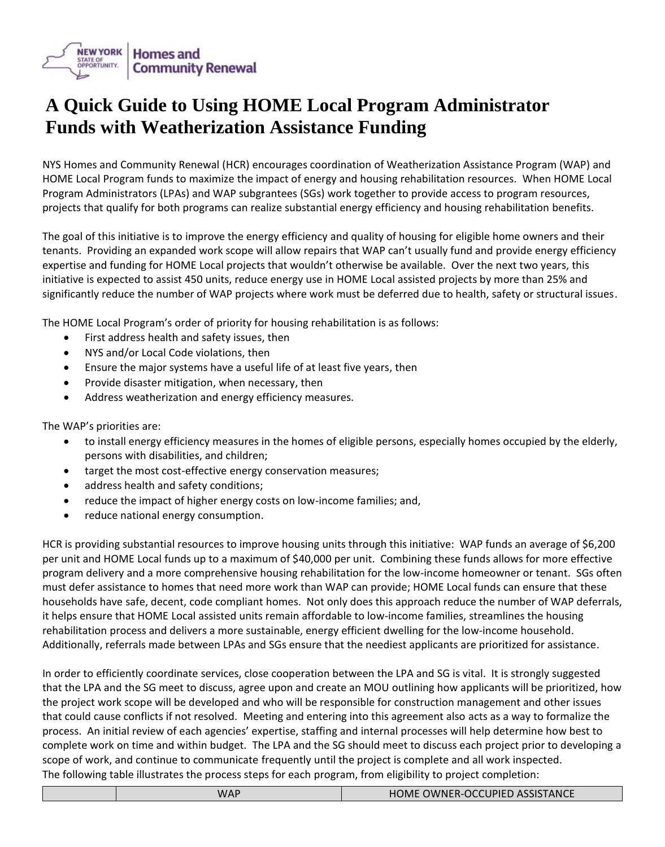

## **A Quick Guide to Using HOME Local Program Administrator Funds with Weatherization Assistance Funding**

NYS Homes and Community Renewal (HCR) encourages coordination of Weatherization Assistance Program (WAP) and HOME Local Program funds to maximize the impact of energy and housing rehabilitation resources. When HOME Local Program Administrators (LPAs) and WAP subgrantees (SGs) work together to provide access to program resources, projects that qualify for both programs can realize substantial energy efficiency and housing rehabilitation benefits.

The goal of this initiative is to improve the energy efficiency and quality of housing for eligible home owners and their tenants. Providing an expanded work scope will allow repairs that WAP can't usually fund and provide energy efficiency expertise and funding for HOME Local projects that wouldn't otherwise be available. Over the next two years, this initiative is expected to assist 450 units, reduce energy use in HOME Local assisted projects by more than 25% and significantly reduce the number of WAP projects where work must be deferred due to health, safety or structural issues.

The HOME Local Program's order of priority for housing rehabilitation is as follows:

- First address health and safety issues, then
- NYS and/or Local Code violations, then
- Ensure the major systems have a useful life of at least five years, then
- Provide disaster mitigation, when necessary, then
- Address weatherization and energy efficiency measures.

The WAP's priorities are:

- to install energy efficiency measures in the homes of eligible persons, especially homes occupied by the elderly, persons with disabilities, and children;
- target the most cost-effective energy conservation measures;
- address health and safety conditions;
- reduce the impact of higher energy costs on low-income families; and,
- reduce national energy consumption.

HCR is providing substantial resources to improve housing units through this initiative: WAP funds an average of \$6,200 per unit and HOME Local funds up to a maximum of \$40,000 per unit. Combining these funds allows for more effective program delivery and a more comprehensive housing rehabilitation for the low-income homeowner or tenant. SGs often must defer assistance to homes that need more work than WAP can provide; HOME Local funds can ensure that these households have safe, decent, code compliant homes. Not only does this approach reduce the number of WAP deferrals, it helps ensure that HOME Local assisted units remain affordable to low-income families, streamlines the housing rehabilitation process and delivers a more sustainable, energy efficient dwelling for the low-income household. Additionally, referrals made between LPAs and SGs ensure that the neediest applicants are prioritized for assistance.

In order to efficiently coordinate services, close cooperation between the LPA and SG is vital. It is strongly suggested that the LPA and the SG meet to discuss, agree upon and create an MOU outlining how applicants will be prioritized, how the project work scope will be developed and who will be responsible for construction management and other issues that could cause conflicts if not resolved. Meeting and entering into this agreement also acts as a way to formalize the process. An initial review of each agencies' expertise, staffing and internal processes will help determine how best to complete work on time and within budget. The LPA and the SG should meet to discuss each project prior to developing a scope of work, and continue to communicate frequently until the project is complete and all work inspected. The following table illustrates the process steps for each program, from eligibility to project completion: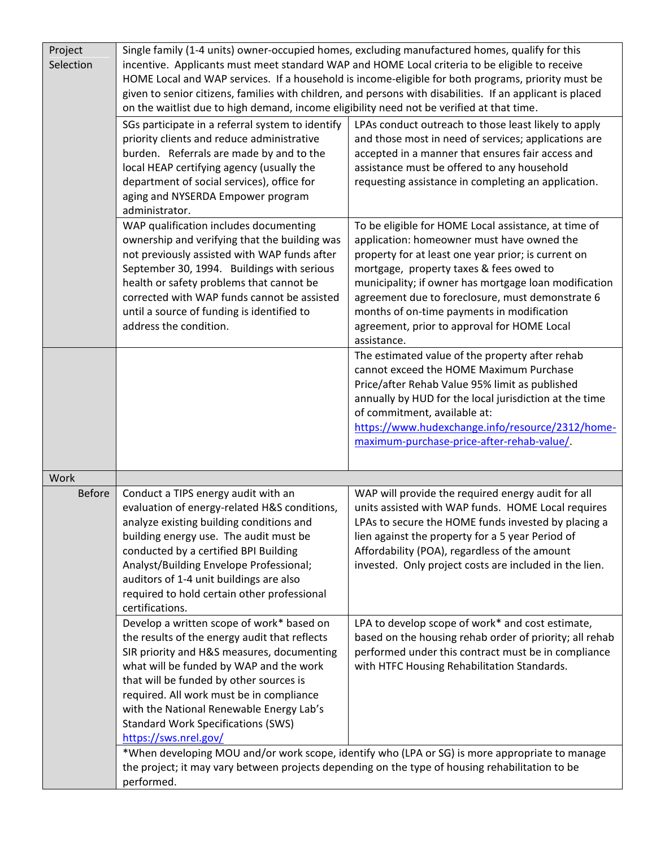| Project<br>Selection | on the waitlist due to high demand, income eligibility need not be verified at that time.                                                                                                                                                                                                                                                                                                    | Single family (1-4 units) owner-occupied homes, excluding manufactured homes, qualify for this<br>incentive. Applicants must meet standard WAP and HOME Local criteria to be eligible to receive<br>HOME Local and WAP services. If a household is income-eligible for both programs, priority must be<br>given to senior citizens, families with children, and persons with disabilities. If an applicant is placed          |
|----------------------|----------------------------------------------------------------------------------------------------------------------------------------------------------------------------------------------------------------------------------------------------------------------------------------------------------------------------------------------------------------------------------------------|-------------------------------------------------------------------------------------------------------------------------------------------------------------------------------------------------------------------------------------------------------------------------------------------------------------------------------------------------------------------------------------------------------------------------------|
|                      | SGs participate in a referral system to identify<br>priority clients and reduce administrative<br>burden. Referrals are made by and to the<br>local HEAP certifying agency (usually the<br>department of social services), office for<br>aging and NYSERDA Empower program<br>administrator.                                                                                                 | LPAs conduct outreach to those least likely to apply<br>and those most in need of services; applications are<br>accepted in a manner that ensures fair access and<br>assistance must be offered to any household<br>requesting assistance in completing an application.                                                                                                                                                       |
|                      | WAP qualification includes documenting<br>ownership and verifying that the building was<br>not previously assisted with WAP funds after<br>September 30, 1994. Buildings with serious<br>health or safety problems that cannot be<br>corrected with WAP funds cannot be assisted<br>until a source of funding is identified to<br>address the condition.                                     | To be eligible for HOME Local assistance, at time of<br>application: homeowner must have owned the<br>property for at least one year prior; is current on<br>mortgage, property taxes & fees owed to<br>municipality; if owner has mortgage loan modification<br>agreement due to foreclosure, must demonstrate 6<br>months of on-time payments in modification<br>agreement, prior to approval for HOME Local<br>assistance. |
|                      |                                                                                                                                                                                                                                                                                                                                                                                              | The estimated value of the property after rehab<br>cannot exceed the HOME Maximum Purchase<br>Price/after Rehab Value 95% limit as published<br>annually by HUD for the local jurisdiction at the time<br>of commitment, available at:<br>https://www.hudexchange.info/resource/2312/home-<br>maximum-purchase-price-after-rehab-value/                                                                                       |
| Work                 |                                                                                                                                                                                                                                                                                                                                                                                              |                                                                                                                                                                                                                                                                                                                                                                                                                               |
| <b>Before</b>        | Conduct a TIPS energy audit with an<br>evaluation of energy-related H&S conditions,<br>analyze existing building conditions and<br>building energy use. The audit must be<br>conducted by a certified BPI Building<br>Analyst/Building Envelope Professional;<br>auditors of 1-4 unit buildings are also<br>required to hold certain other professional<br>certifications.                   | WAP will provide the required energy audit for all<br>units assisted with WAP funds. HOME Local requires<br>LPAs to secure the HOME funds invested by placing a<br>lien against the property for a 5 year Period of<br>Affordability (POA), regardless of the amount<br>invested. Only project costs are included in the lien.                                                                                                |
|                      | Develop a written scope of work* based on<br>the results of the energy audit that reflects<br>SIR priority and H&S measures, documenting<br>what will be funded by WAP and the work<br>that will be funded by other sources is<br>required. All work must be in compliance<br>with the National Renewable Energy Lab's<br><b>Standard Work Specifications (SWS)</b><br>https://sws.nrel.gov/ | LPA to develop scope of work* and cost estimate,<br>based on the housing rehab order of priority; all rehab<br>performed under this contract must be in compliance<br>with HTFC Housing Rehabilitation Standards.                                                                                                                                                                                                             |
|                      | *When developing MOU and/or work scope, identify who (LPA or SG) is more appropriate to manage<br>the project; it may vary between projects depending on the type of housing rehabilitation to be<br>performed.                                                                                                                                                                              |                                                                                                                                                                                                                                                                                                                                                                                                                               |